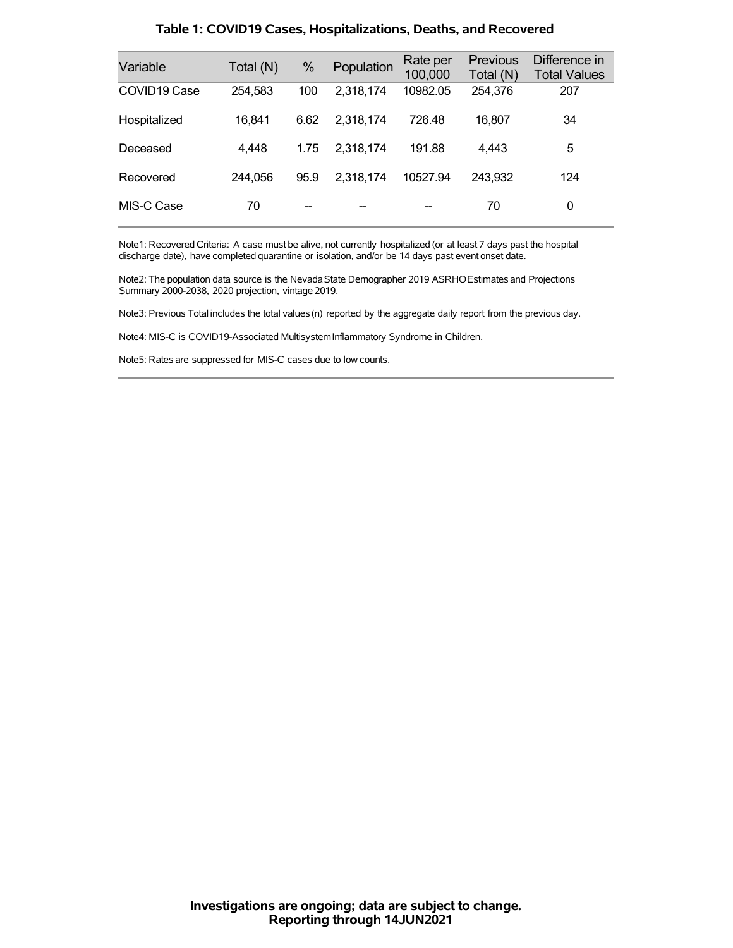| Variable                 | Total (N) | %    | Population | Rate per<br>100,000 | <b>Previous</b><br>Total (N) | Difference in<br><b>Total Values</b> |
|--------------------------|-----------|------|------------|---------------------|------------------------------|--------------------------------------|
| COVID <sub>19</sub> Case | 254,583   | 100  | 2,318,174  | 10982.05            | 254,376                      | 207                                  |
| Hospitalized             | 16,841    | 6.62 | 2,318,174  | 726.48              | 16.807                       | 34                                   |
| Deceased                 | 4,448     | 1.75 | 2,318,174  | 191.88              | 4,443                        | 5                                    |
| Recovered                | 244,056   | 95.9 | 2,318,174  | 10527.94            | 243,932                      | 124                                  |
| MIS-C Case               | 70        |      |            |                     | 70                           | 0                                    |

### **Table 1: COVID19 Cases, Hospitalizations, Deaths, and Recovered**

Note1: Recovered Criteria: A case must be alive, not currently hospitalized (or at least 7 days past the hospital discharge date), have completed quarantine or isolation, and/or be 14 days past event onset date.

Note2: The population data source is the Nevada State Demographer 2019 ASRHOEstimates and Projections Summary 2000-2038, 2020 projection, vintage 2019.

Note3: Previous Total includes the total values(n) reported by the aggregate daily report from the previous day.

Note4: MIS-C is COVID19-Associated MultisystemInflammatory Syndrome in Children.

Note5: Rates are suppressed for MIS-C cases due to low counts.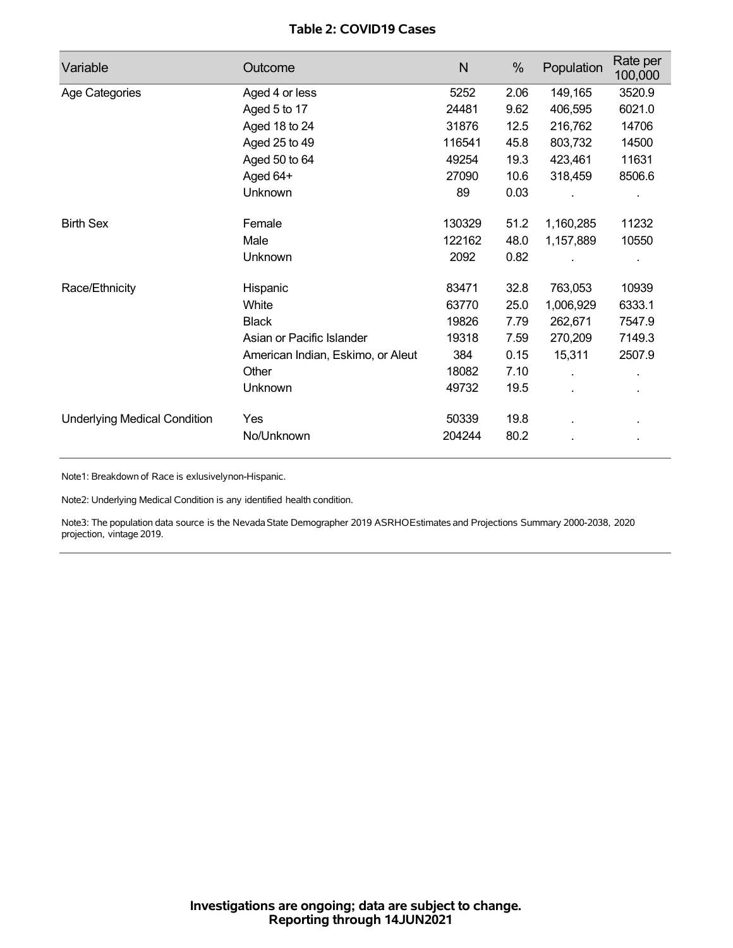## **Table 2: COVID19 Cases**

| Variable                            | Outcome                           | N      | %    | Population | Rate per<br>100,000 |
|-------------------------------------|-----------------------------------|--------|------|------------|---------------------|
| Age Categories                      | Aged 4 or less                    | 5252   | 2.06 | 149,165    | 3520.9              |
|                                     | Aged 5 to 17                      | 24481  | 9.62 | 406,595    | 6021.0              |
|                                     | Aged 18 to 24                     | 31876  | 12.5 | 216,762    | 14706               |
|                                     | Aged 25 to 49                     | 116541 | 45.8 | 803,732    | 14500               |
|                                     | Aged 50 to 64                     | 49254  | 19.3 | 423,461    | 11631               |
|                                     | Aged 64+                          | 27090  | 10.6 | 318,459    | 8506.6              |
|                                     | Unknown                           | 89     | 0.03 |            |                     |
| <b>Birth Sex</b>                    | Female                            | 130329 | 51.2 | 1,160,285  | 11232               |
|                                     | Male                              | 122162 | 48.0 | 1,157,889  | 10550               |
|                                     | Unknown                           | 2092   | 0.82 |            |                     |
| Race/Ethnicity                      | Hispanic                          | 83471  | 32.8 | 763,053    | 10939               |
|                                     | White                             | 63770  | 25.0 | 1,006,929  | 6333.1              |
|                                     | <b>Black</b>                      | 19826  | 7.79 | 262,671    | 7547.9              |
|                                     | Asian or Pacific Islander         | 19318  | 7.59 | 270,209    | 7149.3              |
|                                     | American Indian, Eskimo, or Aleut | 384    | 0.15 | 15,311     | 2507.9              |
|                                     | Other                             | 18082  | 7.10 | ä,         |                     |
|                                     | <b>Unknown</b>                    | 49732  | 19.5 |            |                     |
| <b>Underlying Medical Condition</b> | Yes                               | 50339  | 19.8 |            |                     |
|                                     | No/Unknown                        | 204244 | 80.2 |            |                     |

Note1: Breakdown of Race is exlusivelynon-Hispanic.

Note2: Underlying Medical Condition is any identified health condition.

Note3: The population data source is the NevadaState Demographer 2019 ASRHOEstimates and Projections Summary 2000-2038, 2020 projection, vintage 2019.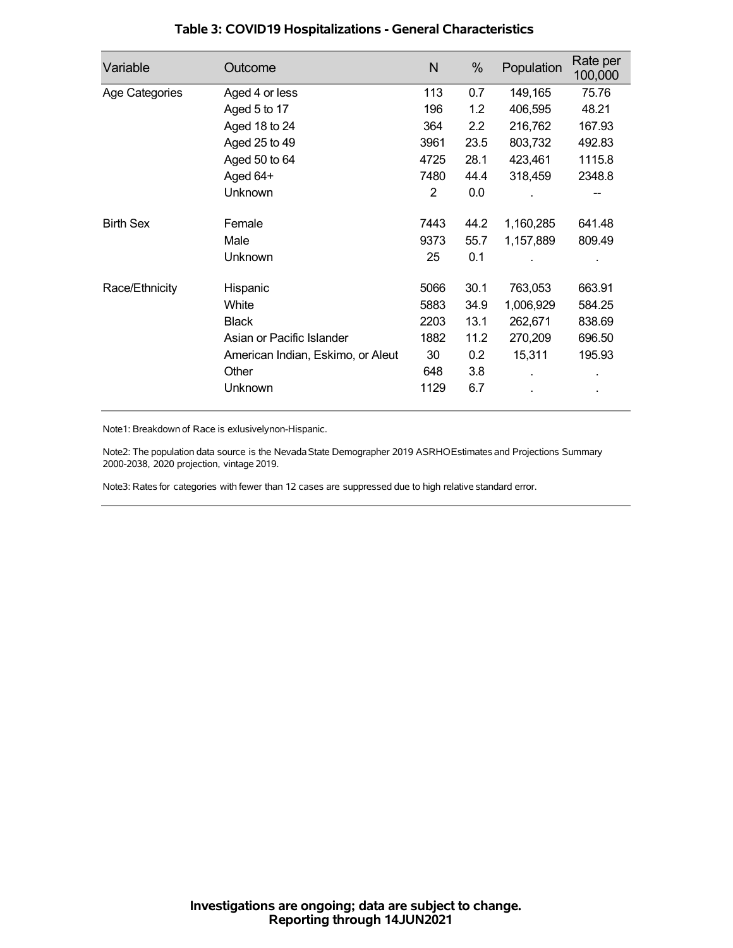| Variable         | Outcome                           | N    | %    | Population | Rate per<br>100,000 |
|------------------|-----------------------------------|------|------|------------|---------------------|
| Age Categories   | Aged 4 or less                    | 113  | 0.7  | 149,165    | 75.76               |
|                  | Aged 5 to 17                      | 196  | 1.2  | 406,595    | 48.21               |
|                  | Aged 18 to 24                     | 364  | 2.2  | 216,762    | 167.93              |
|                  | Aged 25 to 49                     | 3961 | 23.5 | 803,732    | 492.83              |
|                  | Aged 50 to 64                     | 4725 | 28.1 | 423,461    | 1115.8              |
|                  | Aged 64+                          | 7480 | 44.4 | 318,459    | 2348.8              |
|                  | Unknown                           | 2    | 0.0  |            |                     |
| <b>Birth Sex</b> | Female                            | 7443 | 44.2 | 1,160,285  | 641.48              |
|                  | Male                              | 9373 | 55.7 | 1,157,889  | 809.49              |
|                  | <b>Unknown</b>                    | 25   | 0.1  |            |                     |
| Race/Ethnicity   | Hispanic                          | 5066 | 30.1 | 763,053    | 663.91              |
|                  | White                             | 5883 | 34.9 | 1,006,929  | 584.25              |
|                  | <b>Black</b>                      | 2203 | 13.1 | 262,671    | 838.69              |
|                  | Asian or Pacific Islander         | 1882 | 11.2 | 270,209    | 696.50              |
|                  | American Indian, Eskimo, or Aleut | 30   | 0.2  | 15,311     | 195.93              |
|                  | Other                             | 648  | 3.8  |            |                     |
|                  | Unknown                           | 1129 | 6.7  |            |                     |

## **Table 3: COVID19 Hospitalizations - General Characteristics**

Note1: Breakdown of Race is exlusivelynon-Hispanic.

Note2: The population data source is the Nevada State Demographer 2019 ASRHOEstimates and Projections Summary 2000-2038, 2020 projection, vintage 2019.

Note3: Rates for categories with fewer than 12 cases are suppressed due to high relative standard error.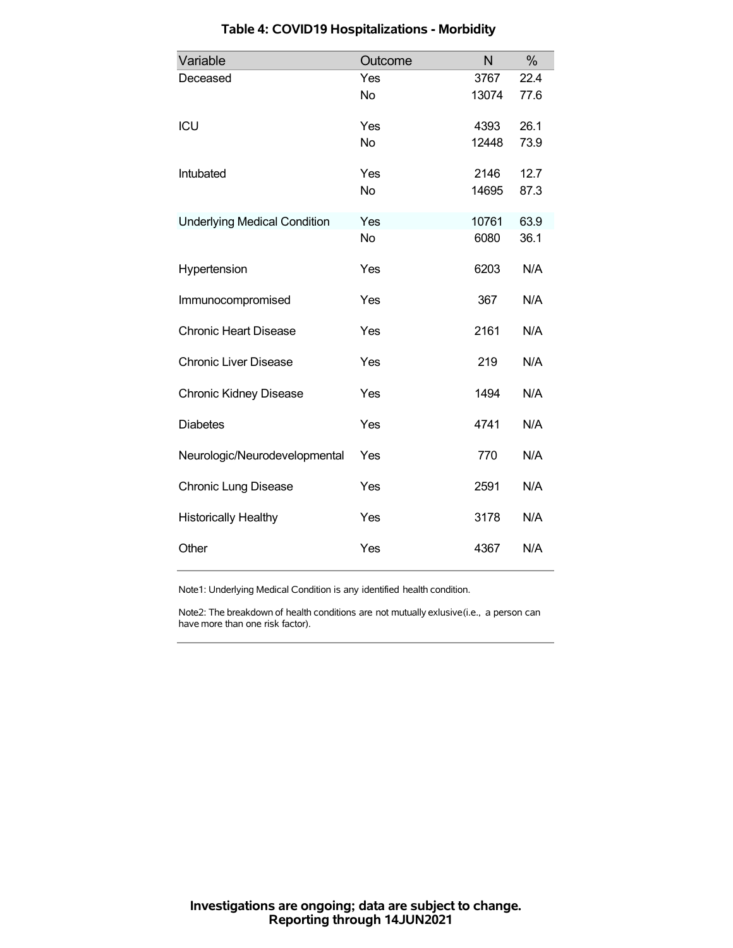| Variable                            | Outcome   | N     | %    |
|-------------------------------------|-----------|-------|------|
| Deceased                            | Yes       | 3767  | 22.4 |
|                                     | No        | 13074 | 77.6 |
| ICU                                 | Yes       | 4393  | 26.1 |
|                                     | <b>No</b> | 12448 | 73.9 |
| Intubated                           | Yes       | 2146  | 12.7 |
|                                     | <b>No</b> | 14695 | 87.3 |
| <b>Underlying Medical Condition</b> | Yes       | 10761 | 63.9 |
|                                     | <b>No</b> | 6080  | 36.1 |
| Hypertension                        | Yes       | 6203  | N/A  |
| Immunocompromised                   | Yes       | 367   | N/A  |
| <b>Chronic Heart Disease</b>        | Yes       | 2161  | N/A  |
| <b>Chronic Liver Disease</b>        | Yes       | 219   | N/A  |
| <b>Chronic Kidney Disease</b>       | Yes       | 1494  | N/A  |
| <b>Diabetes</b>                     | Yes       | 4741  | N/A  |
| Neurologic/Neurodevelopmental       | Yes       | 770   | N/A  |
| <b>Chronic Lung Disease</b>         | Yes       | 2591  | N/A  |
| <b>Historically Healthy</b>         | Yes       | 3178  | N/A  |
| Other                               | Yes       | 4367  | N/A  |

# **Table 4: COVID19 Hospitalizations - Morbidity**

Note1: Underlying Medical Condition is any identified health condition.

Note2: The breakdown of health conditions are not mutually exlusive(i.e., a person can have more than one risk factor).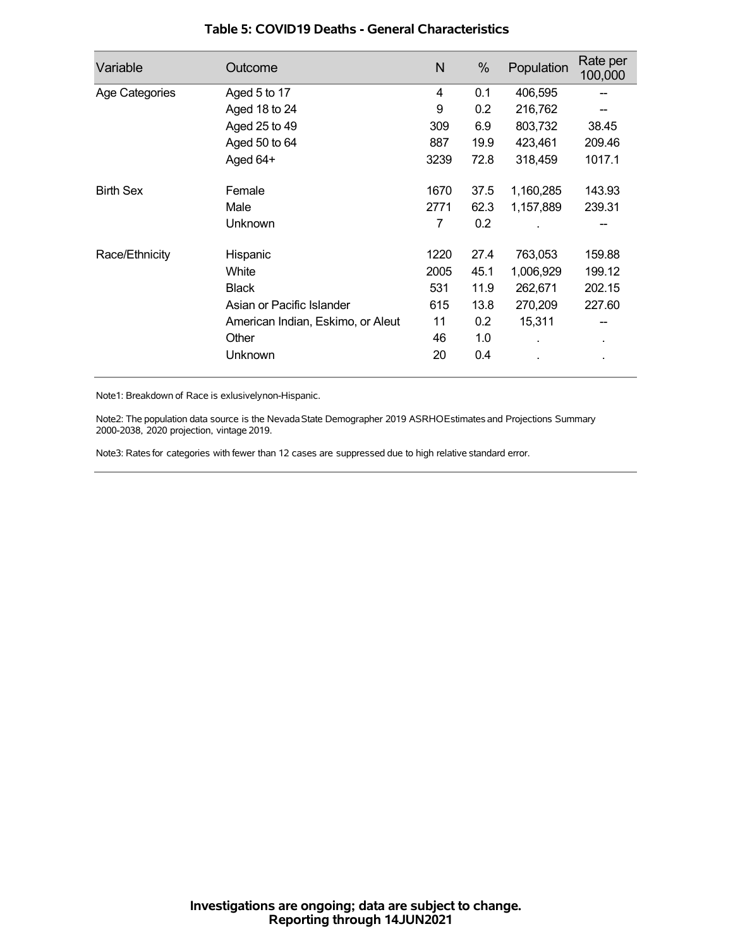| Variable         | Outcome                           | N    | %    | Population | Rate per<br>100,000 |
|------------------|-----------------------------------|------|------|------------|---------------------|
| Age Categories   | Aged 5 to 17                      | 4    | 0.1  | 406,595    |                     |
|                  | Aged 18 to 24                     | 9    | 0.2  | 216,762    |                     |
|                  | Aged 25 to 49                     | 309  | 6.9  | 803,732    | 38.45               |
|                  | Aged 50 to 64                     | 887  | 19.9 | 423,461    | 209.46              |
|                  | Aged 64+                          | 3239 | 72.8 | 318,459    | 1017.1              |
| <b>Birth Sex</b> | Female                            | 1670 | 37.5 | 1,160,285  | 143.93              |
|                  | Male                              | 2771 | 62.3 | 1,157,889  | 239.31              |
|                  | Unknown                           | 7    | 0.2  |            |                     |
| Race/Ethnicity   | Hispanic                          | 1220 | 27.4 | 763,053    | 159.88              |
|                  | White                             | 2005 | 45.1 | 1,006,929  | 199.12              |
|                  | <b>Black</b>                      | 531  | 11.9 | 262,671    | 202.15              |
|                  | Asian or Pacific Islander         | 615  | 13.8 | 270,209    | 227.60              |
|                  | American Indian, Eskimo, or Aleut | 11   | 0.2  | 15,311     |                     |
|                  | Other                             | 46   | 1.0  |            | $\blacksquare$      |
|                  | Unknown                           | 20   | 0.4  |            |                     |

### **Table 5: COVID19 Deaths - General Characteristics**

Note1: Breakdown of Race is exlusivelynon-Hispanic.

Note2: The population data source is the Nevada State Demographer 2019 ASRHOEstimates and Projections Summary 2000-2038, 2020 projection, vintage 2019.

Note3: Rates for categories with fewer than 12 cases are suppressed due to high relative standard error.